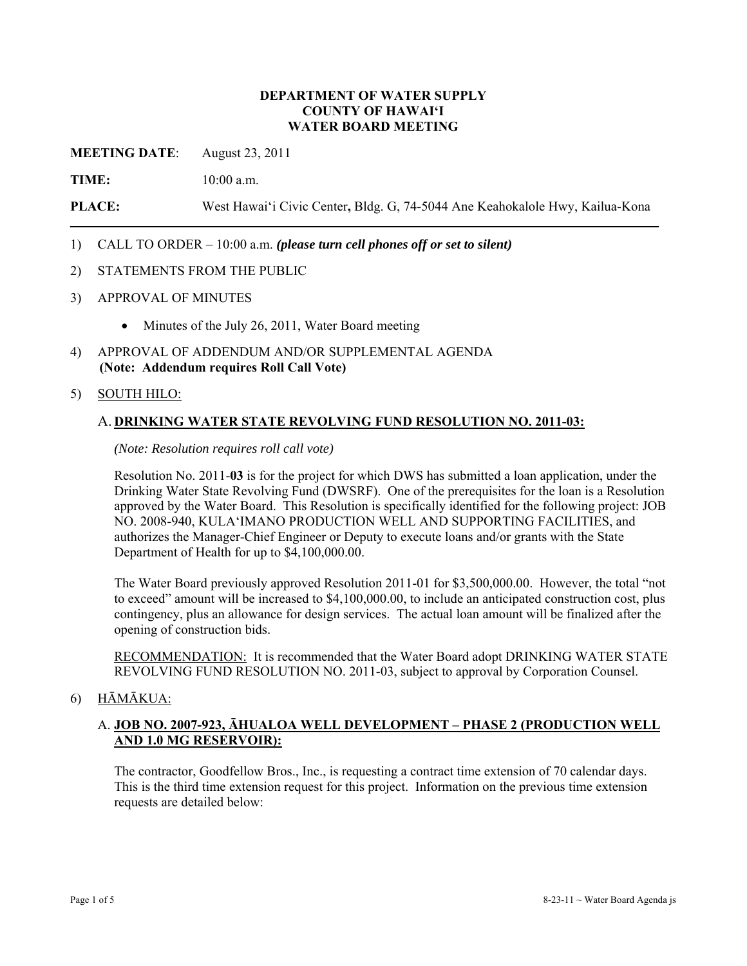#### **DEPARTMENT OF WATER SUPPLY COUNTY OF HAWAI'I WATER BOARD MEETING**

**MEETING DATE**: August 23, 2011

**TIME:** 10:00 a.m.

**PLACE:** West Hawai'i Civic Center**,** Bldg. G, 74-5044 Ane Keahokalole Hwy, Kailua-Kona

## 1) CALL TO ORDER – 10:00 a.m. *(please turn cell phones off or set to silent)*

#### 2) STATEMENTS FROM THE PUBLIC

- 3) APPROVAL OF MINUTES
	- Minutes of the July 26, 2011, Water Board meeting
- 4) APPROVAL OF ADDENDUM AND/OR SUPPLEMENTAL AGENDA **(Note: Addendum requires Roll Call Vote)**

#### 5) SOUTH HILO:

#### A. **DRINKING WATER STATE REVOLVING FUND RESOLUTION NO. 2011-03:**

*(Note: Resolution requires roll call vote)* 

Resolution No. 2011-**03** is for the project for which DWS has submitted a loan application, under the Drinking Water State Revolving Fund (DWSRF). One of the prerequisites for the loan is a Resolution approved by the Water Board. This Resolution is specifically identified for the following project: JOB NO. 2008-940, KULA'IMANO PRODUCTION WELL AND SUPPORTING FACILITIES, and authorizes the Manager-Chief Engineer or Deputy to execute loans and/or grants with the State Department of Health for up to \$4,100,000.00.

The Water Board previously approved Resolution 2011-01 for \$3,500,000.00. However, the total "not to exceed" amount will be increased to \$4,100,000.00, to include an anticipated construction cost, plus contingency, plus an allowance for design services. The actual loan amount will be finalized after the opening of construction bids.

RECOMMENDATION: It is recommended that the Water Board adopt DRINKING WATER STATE REVOLVING FUND RESOLUTION NO. 2011-03, subject to approval by Corporation Counsel.

### 6) HĀMĀKUA:

# A. **JOB NO. 2007-923, ĀHUALOA WELL DEVELOPMENT – PHASE 2 (PRODUCTION WELL AND 1.0 MG RESERVOIR):**

The contractor, Goodfellow Bros., Inc., is requesting a contract time extension of 70 calendar days. This is the third time extension request for this project. Information on the previous time extension requests are detailed below: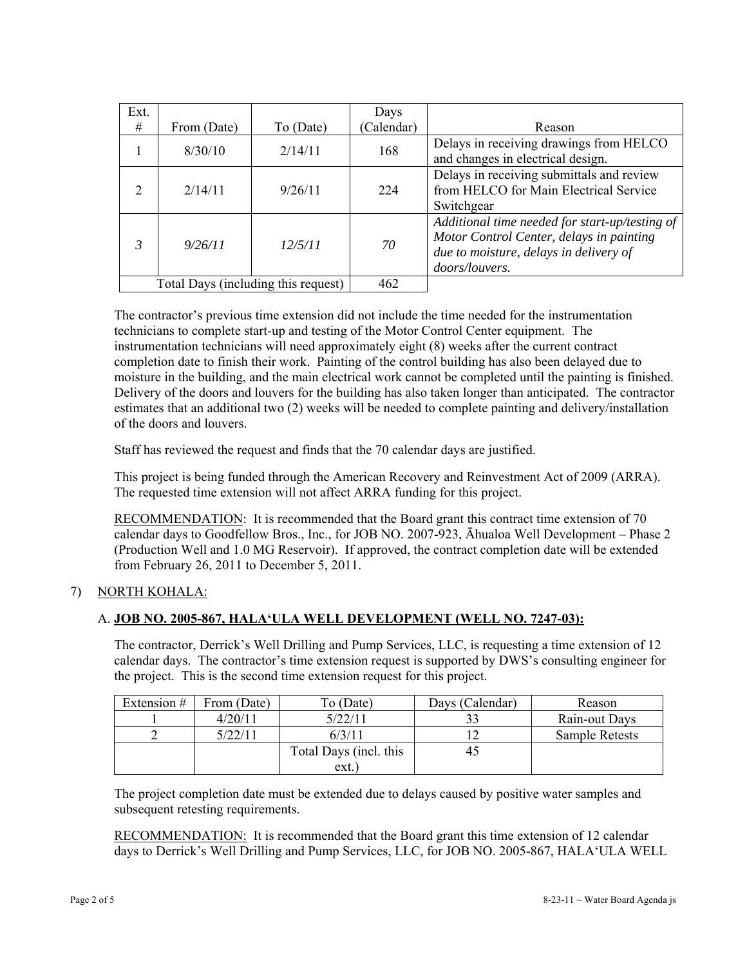| Ext.                                |             |           | Days       |                                                                                                                                                        |
|-------------------------------------|-------------|-----------|------------|--------------------------------------------------------------------------------------------------------------------------------------------------------|
| #                                   | From (Date) | To (Date) | (Calendar) | Reason                                                                                                                                                 |
|                                     | 8/30/10     | 2/14/11   | 168        | Delays in receiving drawings from HELCO<br>and changes in electrical design.                                                                           |
| $\overline{2}$                      | 2/14/11     | 9/26/11   | 224        | Delays in receiving submittals and review<br>from HELCO for Main Electrical Service<br>Switchgear                                                      |
| 3                                   | 9/26/11     | 12/5/11   | 70         | Additional time needed for start-up/testing of<br>Motor Control Center, delays in painting<br>due to moisture, delays in delivery of<br>doors/louvers. |
| Total Days (including this request) |             |           | 462        |                                                                                                                                                        |

The contractor's previous time extension did not include the time needed for the instrumentation technicians to complete start-up and testing of the Motor Control Center equipment. The instrumentation technicians will need approximately eight (8) weeks after the current contract completion date to finish their work. Painting of the control building has also been delayed due to moisture in the building, and the main electrical work cannot be completed until the painting is finished. Delivery of the doors and louvers for the building has also taken longer than anticipated. The contractor estimates that an additional two (2) weeks will be needed to complete painting and delivery/installation of the doors and louvers.

Staff has reviewed the request and finds that the 70 calendar days are justified.

This project is being funded through the American Recovery and Reinvestment Act of 2009 (ARRA). The requested time extension will not affect ARRA funding for this project.

RECOMMENDATION: It is recommended that the Board grant this contract time extension of 70 calendar days to Goodfellow Bros., Inc., for JOB NO. 2007-923, Āhualoa Well Development – Phase 2 (Production Well and 1.0 MG Reservoir). If approved, the contract completion date will be extended from February 26, 2011 to December 5, 2011.

# 7) NORTH KOHALA:

# A. **JOB NO. 2005-867, HALA'ULA WELL DEVELOPMENT (WELL NO. 7247-03):**

The contractor, Derrick's Well Drilling and Pump Services, LLC, is requesting a time extension of 12 calendar days. The contractor's time extension request is supported by DWS's consulting engineer for the project. This is the second time extension request for this project.

| Extension # | From (Date) | To (Date)              | Days (Calendar) | Reason         |
|-------------|-------------|------------------------|-----------------|----------------|
|             | 4/20/11     | 5/22/11                |                 | Rain-out Days  |
|             | 5/22/11     | 6/3/11                 |                 | Sample Retests |
|             |             | Total Days (incl. this | 4.              |                |
|             |             | ext.                   |                 |                |

The project completion date must be extended due to delays caused by positive water samples and subsequent retesting requirements.

RECOMMENDATION: It is recommended that the Board grant this time extension of 12 calendar days to Derrick's Well Drilling and Pump Services, LLC, for JOB NO. 2005-867, HALA'ULA WELL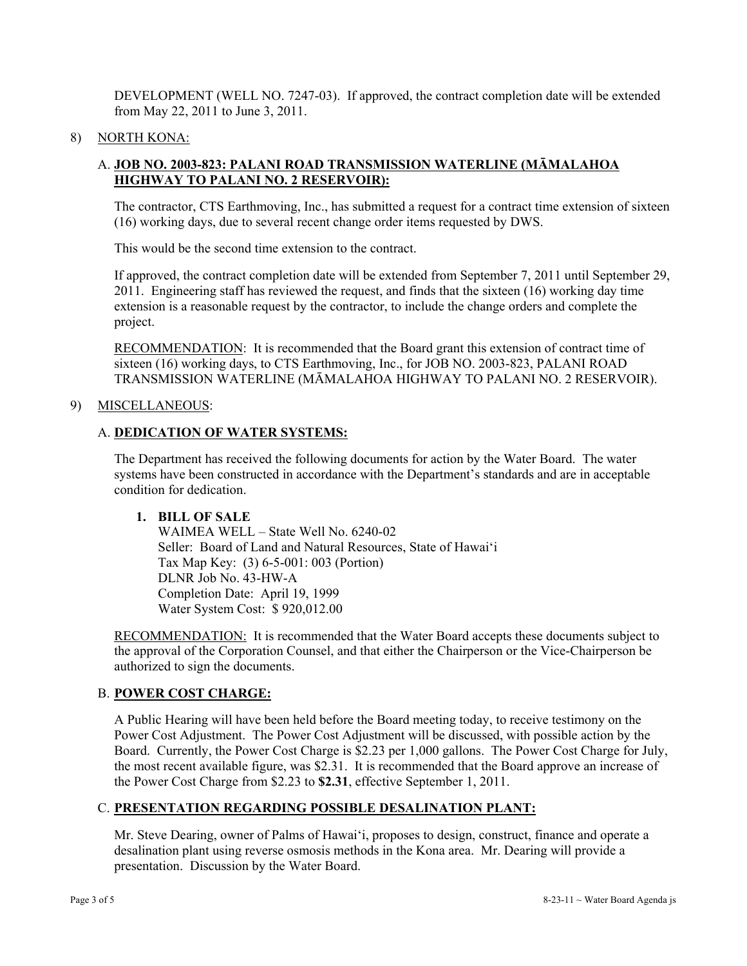DEVELOPMENT (WELL NO. 7247-03). If approved, the contract completion date will be extended from May 22, 2011 to June 3, 2011.

### 8) NORTH KONA:

## A. **JOB NO. 2003-823: PALANI ROAD TRANSMISSION WATERLINE (MĀMALAHOA HIGHWAY TO PALANI NO. 2 RESERVOIR):**

The contractor, CTS Earthmoving, Inc., has submitted a request for a contract time extension of sixteen (16) working days, due to several recent change order items requested by DWS.

This would be the second time extension to the contract.

If approved, the contract completion date will be extended from September 7, 2011 until September 29, 2011. Engineering staff has reviewed the request, and finds that the sixteen (16) working day time extension is a reasonable request by the contractor, to include the change orders and complete the project.

RECOMMENDATION: It is recommended that the Board grant this extension of contract time of sixteen (16) working days, to CTS Earthmoving, Inc., for JOB NO. 2003-823, PALANI ROAD TRANSMISSION WATERLINE (MĀMALAHOA HIGHWAY TO PALANI NO. 2 RESERVOIR).

#### 9) MISCELLANEOUS:

### A. **DEDICATION OF WATER SYSTEMS:**

The Department has received the following documents for action by the Water Board. The water systems have been constructed in accordance with the Department's standards and are in acceptable condition for dedication.

### **1. BILL OF SALE**

 WAIMEA WELL – State Well No. 6240-02 Seller: Board of Land and Natural Resources, State of Hawai'i Tax Map Key: (3) 6-5-001: 003 (Portion) DLNR Job No. 43-HW-A Completion Date: April 19, 1999 Water System Cost: \$ 920,012.00

RECOMMENDATION: It is recommended that the Water Board accepts these documents subject to the approval of the Corporation Counsel, and that either the Chairperson or the Vice-Chairperson be authorized to sign the documents.

## B. **POWER COST CHARGE:**

A Public Hearing will have been held before the Board meeting today, to receive testimony on the Power Cost Adjustment. The Power Cost Adjustment will be discussed, with possible action by the Board. Currently, the Power Cost Charge is \$2.23 per 1,000 gallons. The Power Cost Charge for July, the most recent available figure, was \$2.31. It is recommended that the Board approve an increase of the Power Cost Charge from \$2.23 to **\$2.31**, effective September 1, 2011.

### C. **PRESENTATION REGARDING POSSIBLE DESALINATION PLANT:**

Mr. Steve Dearing, owner of Palms of Hawai'i, proposes to design, construct, finance and operate a desalination plant using reverse osmosis methods in the Kona area. Mr. Dearing will provide a presentation. Discussion by the Water Board.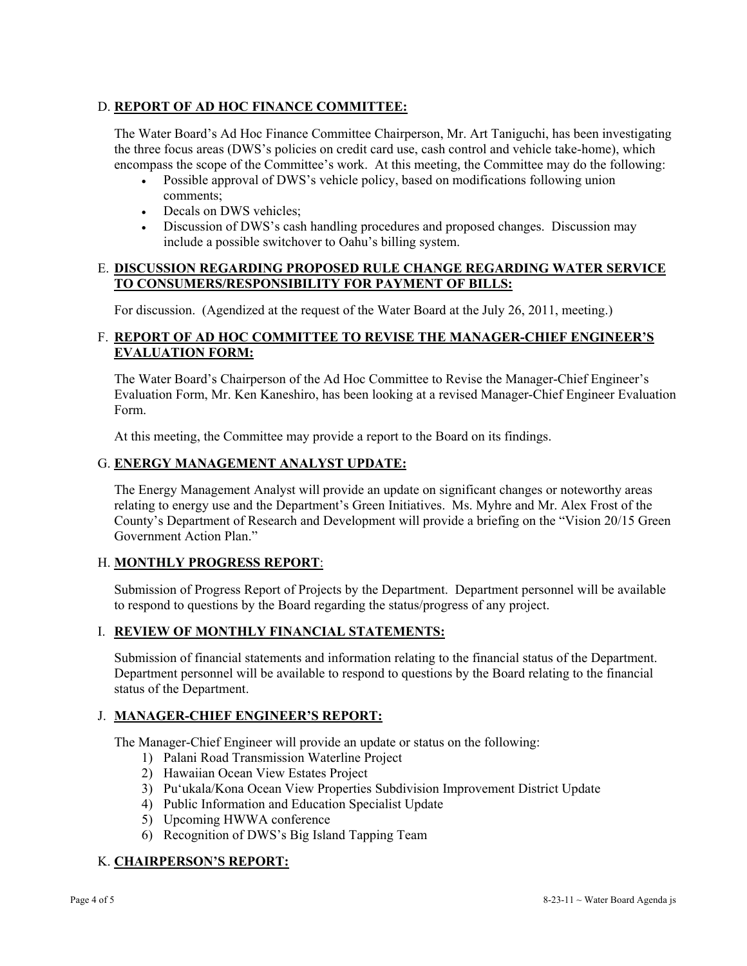# D. **REPORT OF AD HOC FINANCE COMMITTEE:**

The Water Board's Ad Hoc Finance Committee Chairperson, Mr. Art Taniguchi, has been investigating the three focus areas (DWS's policies on credit card use, cash control and vehicle take-home), which encompass the scope of the Committee's work. At this meeting, the Committee may do the following:

- Possible approval of DWS's vehicle policy, based on modifications following union comments;
- Decals on DWS vehicles;
- Discussion of DWS's cash handling procedures and proposed changes. Discussion may include a possible switchover to Oahu's billing system.

## E. **DISCUSSION REGARDING PROPOSED RULE CHANGE REGARDING WATER SERVICE TO CONSUMERS/RESPONSIBILITY FOR PAYMENT OF BILLS:**

For discussion. (Agendized at the request of the Water Board at the July 26, 2011, meeting.)

# F. **REPORT OF AD HOC COMMITTEE TO REVISE THE MANAGER-CHIEF ENGINEER'S EVALUATION FORM:**

The Water Board's Chairperson of the Ad Hoc Committee to Revise the Manager-Chief Engineer's Evaluation Form, Mr. Ken Kaneshiro, has been looking at a revised Manager-Chief Engineer Evaluation Form.

At this meeting, the Committee may provide a report to the Board on its findings.

## G. **ENERGY MANAGEMENT ANALYST UPDATE:**

The Energy Management Analyst will provide an update on significant changes or noteworthy areas relating to energy use and the Department's Green Initiatives. Ms. Myhre and Mr. Alex Frost of the County's Department of Research and Development will provide a briefing on the "Vision 20/15 Green Government Action Plan."

# H. **MONTHLY PROGRESS REPORT**:

Submission of Progress Report of Projects by the Department. Department personnel will be available to respond to questions by the Board regarding the status/progress of any project.

### I. **REVIEW OF MONTHLY FINANCIAL STATEMENTS:**

Submission of financial statements and information relating to the financial status of the Department. Department personnel will be available to respond to questions by the Board relating to the financial status of the Department.

# J. **MANAGER-CHIEF ENGINEER'S REPORT:**

The Manager-Chief Engineer will provide an update or status on the following:

- 1) Palani Road Transmission Waterline Project
- 2) Hawaiian Ocean View Estates Project
- 3) Pu'ukala/Kona Ocean View Properties Subdivision Improvement District Update
- 4) Public Information and Education Specialist Update
- 5) Upcoming HWWA conference
- 6) Recognition of DWS's Big Island Tapping Team

# K. **CHAIRPERSON'S REPORT:**